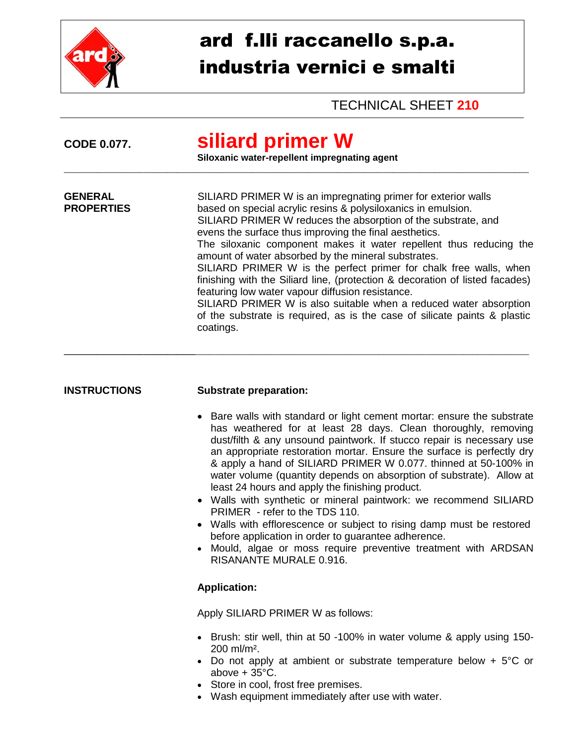

## ard f.lli raccanello s.p.a. industria vernici e smalti

TECHNICAL SHEET **210**

| <b>CODE 0.077.</b>                  | siliard primer W<br>Siloxanic water-repellent impregnating agent                                                                                                                                                                                                                                                                                                                                                                                                                                                                                                                                                                                                                                                                                               |  |  |  |
|-------------------------------------|----------------------------------------------------------------------------------------------------------------------------------------------------------------------------------------------------------------------------------------------------------------------------------------------------------------------------------------------------------------------------------------------------------------------------------------------------------------------------------------------------------------------------------------------------------------------------------------------------------------------------------------------------------------------------------------------------------------------------------------------------------------|--|--|--|
| <b>GENERAL</b><br><b>PROPERTIES</b> | SILIARD PRIMER W is an impregnating primer for exterior walls<br>based on special acrylic resins & polysiloxanics in emulsion.<br>SILIARD PRIMER W reduces the absorption of the substrate, and<br>evens the surface thus improving the final aesthetics.<br>The siloxanic component makes it water repellent thus reducing the<br>amount of water absorbed by the mineral substrates.<br>SILIARD PRIMER W is the perfect primer for chalk free walls, when<br>finishing with the Siliard line, (protection & decoration of listed facades)<br>featuring low water vapour diffusion resistance.<br>SILIARD PRIMER W is also suitable when a reduced water absorption<br>of the substrate is required, as is the case of silicate paints & plastic<br>coatings. |  |  |  |
| <b>INSTRUCTIONS</b>                 | <b>Substrate preparation:</b>                                                                                                                                                                                                                                                                                                                                                                                                                                                                                                                                                                                                                                                                                                                                  |  |  |  |
|                                     | • Bare walls with standard or light cement mortar: ensure the substrate<br>has weathered for at least 28 days. Clean thoroughly, removing<br>dust/filth & any unsound paintwork. If stucco repair is necessary use<br>an appropriate restoration mortar. Ensure the surface is perfectly dry<br>& apply a hand of SILIARD PRIMER W 0.077. thinned at 50-100% in<br>water volume (quantity depends on absorption of substrate). Allow at<br>least 24 hours and apply the finishing product.                                                                                                                                                                                                                                                                     |  |  |  |
|                                     | • Walls with synthetic or mineral paintwork: we recommend SILIARD<br>PRIMER - refer to the TDS 110.                                                                                                                                                                                                                                                                                                                                                                                                                                                                                                                                                                                                                                                            |  |  |  |
|                                     | Walls with efflorescence or subject to rising damp must be restored<br>before application in order to guarantee adherence.<br>Mould, algae or moss require preventive treatment with ARDSAN<br><b>RISANANTE MURALE 0.916.</b>                                                                                                                                                                                                                                                                                                                                                                                                                                                                                                                                  |  |  |  |
|                                     | <b>Application:</b>                                                                                                                                                                                                                                                                                                                                                                                                                                                                                                                                                                                                                                                                                                                                            |  |  |  |
|                                     | Apply SILIARD PRIMER W as follows:                                                                                                                                                                                                                                                                                                                                                                                                                                                                                                                                                                                                                                                                                                                             |  |  |  |
|                                     | • Brush: stir well, thin at 50 -100% in water volume & apply using 150-<br>200 ml/m <sup>2</sup> .<br>Do not apply at ambient or substrate temperature below $+5^{\circ}$ C or<br>above $+35^{\circ}$ C.<br>Store in cool, frost free premises.<br>• Wash equipment immediately after use with water.                                                                                                                                                                                                                                                                                                                                                                                                                                                          |  |  |  |